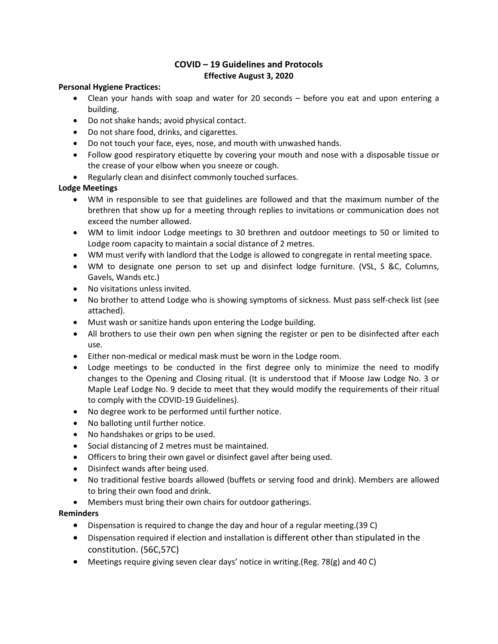## **COVID – 19 Guidelines and Protocols Effective August 3, 2020**

#### **Personal Hygiene Practices:**

- Clean your hands with soap and water for 20 seconds before you eat and upon entering a building.
- Do not shake hands; avoid physical contact.
- Do not share food, drinks, and cigarettes.
- Do not touch your face, eyes, nose, and mouth with unwashed hands.
- Follow good respiratory etiquette by covering your mouth and nose with a disposable tissue or the crease of your elbow when you sneeze or cough.
- Regularly clean and disinfect commonly touched surfaces.

### **Lodge Meetings**

- WM in responsible to see that guidelines are followed and that the maximum number of the brethren that show up for a meeting through replies to invitations or communication does not exceed the number allowed.
- WM to limit indoor Lodge meetings to 30 brethren and outdoor meetings to 50 or limited to Lodge room capacity to maintain a social distance of 2 metres.
- WM must verify with landlord that the Lodge is allowed to congregate in rental meeting space.
- WM to designate one person to set up and disinfect lodge furniture. (VSL, S &C, Columns, Gavels, Wands etc.)
- No visitations unless invited.
- No brother to attend Lodge who is showing symptoms of sickness. Must pass self-check list (see attached).
- Must wash or sanitize hands upon entering the Lodge building.
- All brothers to use their own pen when signing the register or pen to be disinfected after each use.
- Either non-medical or medical mask must be worn in the Lodge room.
- Lodge meetings to be conducted in the first degree only to minimize the need to modify changes to the Opening and Closing ritual. (It is understood that if Moose Jaw Lodge No. 3 or Maple Leaf Lodge No. 9 decide to meet that they would modify the requirements of their ritual to comply with the COVID-19 Guidelines).
- No degree work to be performed until further notice.
- No balloting until further notice.
- No handshakes or grips to be used.
- Social distancing of 2 metres must be maintained.
- Officers to bring their own gavel or disinfect gavel after being used.
- Disinfect wands after being used.
- No traditional festive boards allowed (buffets or serving food and drink). Members are allowed to bring their own food and drink.
- Members must bring their own chairs for outdoor gatherings.

### **Reminders**

- Dispensation is required to change the day and hour of a regular meeting.(39 C)
- Dispensation required if election and installation is different other than stipulated in the constitution. (56C,57C)
- Meetings require giving seven clear days' notice in writing.(Reg. 78(g) and 40 C)